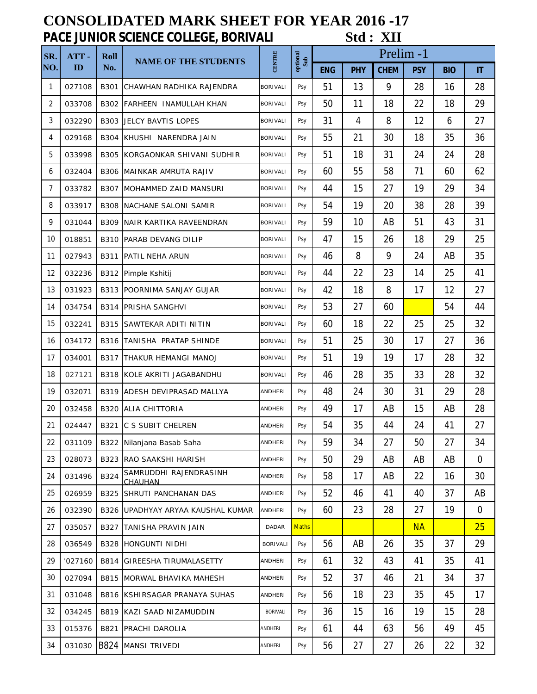## **CONSOLIDATED MARK SHEET FOR YEAR 2016 -17 PACE JUNIOR SCIENCE COLLEGE, BORIVALI Std : XII**

| SR.<br>NO. | ATT-<br>ID | <b>Roll</b><br>No. | <b>NAME OF THE STUDENTS</b>          | <b>CENTRE</b>   | optional<br>Sub | Prelim -1  |            |             |            |            |                |  |
|------------|------------|--------------------|--------------------------------------|-----------------|-----------------|------------|------------|-------------|------------|------------|----------------|--|
|            |            |                    |                                      |                 |                 | <b>ENG</b> | <b>PHY</b> | <b>CHEM</b> | <b>PSY</b> | <b>BIO</b> | IT             |  |
| 1          | 027108     | B301               | CHAWHAN RADHIKA RAJENDRA             | <b>BORIVALI</b> | Psy             | 51         | 13         | 9           | 28         | 16         | 28             |  |
| 2          | 033708     |                    | B302 FARHEEN INAMULLAH KHAN          | <b>BORIVALI</b> | Psy             | 50         | 11         | 18          | 22         | 18         | 29             |  |
| 3          | 032290     |                    | <b>B303 JELCY BAVTIS LOPES</b>       | <b>BORIVALI</b> | Psy             | 31         | 4          | 8           | 12         | 6          | 27             |  |
| 4          | 029168     |                    | B304 KHUSHI NARENDRA JAIN            | <b>BORIVALI</b> | Psy             | 55         | 21         | 30          | 18         | 35         | 36             |  |
| 5          | 033998     |                    | B305 KORGAONKAR SHIVANI SUDHIR       | <b>BORIVALI</b> | Psy             | 51         | 18         | 31          | 24         | 24         | 28             |  |
| 6          | 032404     | B306               | <b>IMAINKAR AMRUTA RAJIV</b>         | <b>BORIVALI</b> | Psy             | 60         | 55         | 58          | 71         | 60         | 62             |  |
| 7          | 033782     |                    | B307 MOHAMMED ZAID MANSURI           | <b>BORIVALI</b> | Psy             | 44         | 15         | 27          | 19         | 29         | 34             |  |
| 8          | 033917     |                    | <b>B308 INACHANE SALONI SAMIR</b>    | <b>BORIVALI</b> | Psy             | 54         | 19         | 20          | 38         | 28         | 39             |  |
| 9          | 031044     | B309               | NAIR KARTIKA RAVEENDRAN              | <b>BORIVALI</b> | Psy             | 59         | 10         | AB          | 51         | 43         | 31             |  |
| 10         | 018851     |                    | <b>B310 PARAB DEVANG DILIP</b>       | <b>BORIVALI</b> | Psy             | 47         | 15         | 26          | 18         | 29         | 25             |  |
| 11         | 027943     | B311               | <b>IPATIL NEHA ARUN</b>              | <b>BORIVALI</b> | Psy             | 46         | 8          | 9           | 24         | AB         | 35             |  |
| 12         | 032236     |                    | B312 Pimple Kshitij                  | <b>BORIVALI</b> | Psy             | 44         | 22         | 23          | 14         | 25         | 41             |  |
| 13         | 031923     |                    | B313 POORNIMA SANJAY GUJAR           | <b>BORIVALI</b> | Psy             | 42         | 18         | 8           | 17         | 12         | 27             |  |
| 14         | 034754     |                    | <b>B314 PRISHA SANGHVI</b>           | <b>BORIVALI</b> | Psy             | 53         | 27         | 60          |            | 54         | 44             |  |
| 15         | 032241     | B315               | SAWTEKAR ADITI NITIN                 | <b>BORIVALI</b> | Psy             | 60         | 18         | 22          | 25         | 25         | 32             |  |
| 16         | 034172     |                    | B316 TANISHA PRATAP SHINDE           | <b>BORIVALI</b> | Psy             | 51         | 25         | 30          | 17         | 27         | 36             |  |
| 17         | 034001     |                    | <b>B317 THAKUR HEMANGI MANOJ</b>     | <b>BORIVALI</b> | Psy             | 51         | 19         | 19          | 17         | 28         | 32             |  |
| 18         | 027121     |                    | B318 KOLE AKRITI JAGABANDHU          | <b>BORIVALI</b> | Psy             | 46         | 28         | 35          | 33         | 28         | 32             |  |
| 19         | 032071     |                    | <b>B319 ADESH DEVIPRASAD MALLYA</b>  | <b>ANDHERI</b>  | Psy             | 48         | 24         | 30          | 31         | 29         | 28             |  |
| 20         | 032458     |                    | <b>B320 ALIA CHITTORIA</b>           | <b>ANDHERI</b>  | Psy             | 49         | 17         | AB          | 15         | AB         | 28             |  |
| 21         | 024447     |                    | <b>B321 C S SUBIT CHELREN</b>        | ANDHERI         | Psy             | 54         | 35         | 44          | 24         | 41         | 27             |  |
| 22         | 031109     |                    | B322 Nilanjana Basab Saha            | ANDHERI         | Psy             | 59         | 34         | 27          | 50         | 27         | 34             |  |
| 23         | 028073     |                    | <b>B323 RAO SAAKSHI HARISH</b>       | ANDHERI         | Psy             | 50         | 29         | AB          | AB         | AB         | $\overline{0}$ |  |
| 24         | 031496     | B324               | SAMRUDDHI RAJENDRASINH<br>CHAUHAN    | ANDHERI         | Psy             | 58         | 17         | AB          | 22         | 16         | 30             |  |
| 25         | 026959     |                    | B325 SHRUTI PANCHANAN DAS            | ANDHERI         | Psy             | 52         | 46         | 41          | 40         | 37         | AB             |  |
| 26         | 032390     | B326               | UPADHYAY ARYAA KAUSHAL KUMAR         | ANDHERI         | Psy             | 60         | 23         | 28          | 27         | 19         | $\overline{0}$ |  |
| 27         | 035057     |                    | B327 TANISHA PRAVIN JAIN             | DADAR           | <b>Maths</b>    |            |            |             | <b>NA</b>  |            | 25             |  |
| 28         | 036549     |                    | <b>B328 HONGUNTI NIDHI</b>           | <b>BORIVALI</b> | Psy             | 56         | AB         | 26          | 35         | 37         | 29             |  |
| 29         | '027160    | B814               | <b>GIREESHA TIRUMALASETTY</b>        | ANDHERI         | Psy             | 61         | 32         | 43          | 41         | 35         | 41             |  |
| 30         | 027094     |                    | <b>B815 MORWAL BHAVIKA MAHESH</b>    | ANDHERI         | Psy             | 52         | 37         | 46          | 21         | 34         | 37             |  |
| 31         | 031048     |                    | <b>B816 KSHIRSAGAR PRANAYA SUHAS</b> | ANDHERI         | Psy             | 56         | 18         | 23          | 35         | 45         | 17             |  |
| 32         | 034245     |                    | B819 KAZI SAAD NIZAMUDDIN            | <b>BORIVALI</b> | Psy             | 36         | 15         | 16          | 19         | 15         | 28             |  |
| 33         | 015376     | B821               | PRACHI DAROLIA                       | ANDHERI         | Psy             | 61         | 44         | 63          | 56         | 49         | 45             |  |
| 34         | 031030     |                    | <b>B824 MANSI TRIVEDI</b>            | ANDHERI         | Psy             | 56         | 27         | 27          | 26         | 22         | 32             |  |